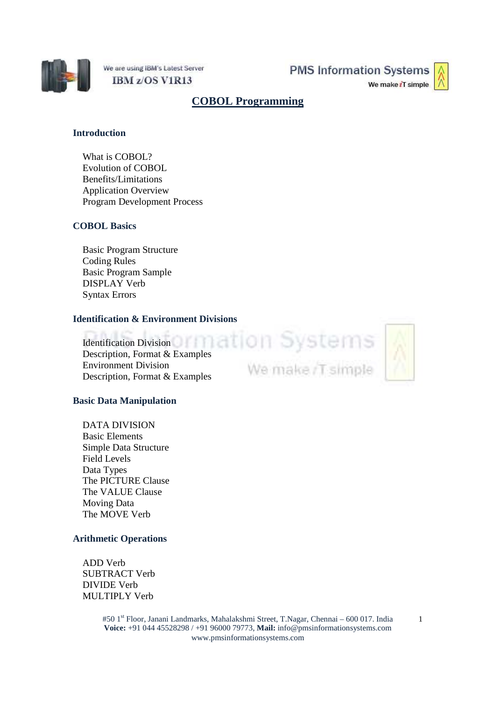

We are using IBM's Latest Server IBM z/OS V1R13

**PMS Information Systems** 

We make iT simple

# **COBOL Programming**

## **Introduction**

What is COBOL? Evolution of COBOL Benefits/Limitations Application Overview Program Development Process

## **COBOL Basics**

Basic Program Structure Coding Rules Basic Program Sample DISPLAY Verb Syntax Errors

## **Identification & Environment Divisions**

Identification Division Identification Division<br>Description, Format & Examples Environment Division Description, Format & Examples

**Basic Data Manipulation**

DATA DIVISION Basic Elements Simple Data Structure Field Levels Data Types The PICTURE Clause The VALUE Clause Moving Data The MOVE Verb

## **Arithmetic Operations**

ADD Verb SUBTRACT Verb DIVIDE Verb MULTIPLY Verb

> #50 1st Floor, Janani Landmarks, Mahalakshmi Street, T.Nagar, Chennai – 600 017. India **Voice:** +91 044 45528298 / +91 96000 79773, **Mail:** info@pmsinformationsystems.com www.pmsinformationsystems.com

We make /T simple

1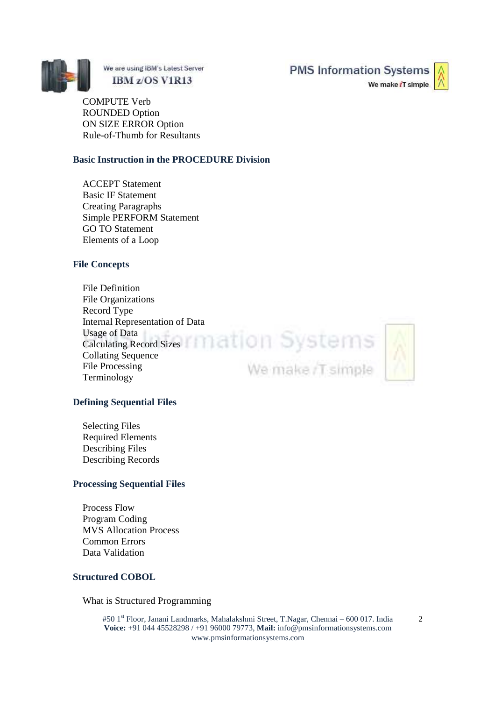

We are using IBM's Latest Server IBM z/OS V1R13

**PMS Information Systems** 

We make iT simple

COMPUTE Verb ROUNDED Option ON SIZE ERROR Option Rule-of-Thumb for Resultants

## **Basic Instruction in the PROCEDURE Division**

ACCEPT Statement Basic IF Statement Creating Paragraphs Simple PERFORM Statement GO TO Statement Elements of a Loop

## **File Concepts**

File Definition File Organizations Record Type Internal Representation of Data Usage of Data Calculating Record Sizes Collating Sequence File Processing Terminology

We make /T simple



#### **Defining Sequential Files**

Selecting Files Required Elements Describing Files Describing Records

#### **Processing Sequential Files**

Process Flow Program Coding MVS Allocation Process Common Errors Data Validation

#### **Structured COBOL**

What is Structured Programming

#50 1<sup>st</sup> Floor, Janani Landmarks, Mahalakshmi Street, T.Nagar, Chennai – 600 017. India **Voice:** +91 044 45528298 / +91 96000 79773, **Mail:** info@pmsinformationsystems.com www.pmsinformationsystems.com

2